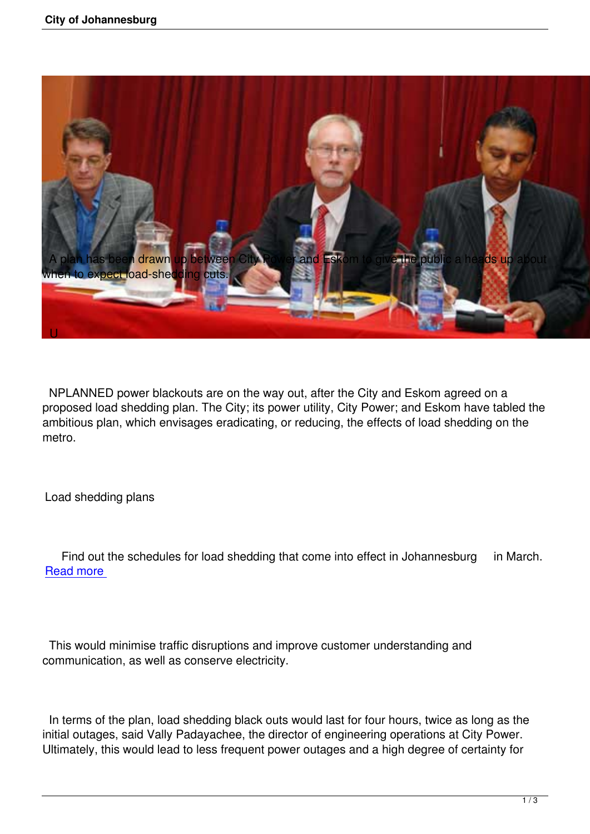

 NPLANNED power blackouts are on the way out, after the City and Eskom agreed on a proposed load shedding plan. The City; its power utility, City Power; and Eskom have tabled the ambitious plan, which envisages eradicating, or reducing, the effects of load shedding on the metro.

Load shedding plans

Find out the schedules for load shedding that come into effect in Johannesburg in March. Read more

 This would minimise traffic disruptions and improve customer understanding and communication, as well as conserve electricity.

 In terms of the plan, load shedding black outs would last for four hours, twice as long as the initial outages, said Vally Padayachee, the director of engineering operations at City Power. Ultimately, this would lead to less frequent power outages and a high degree of certainty for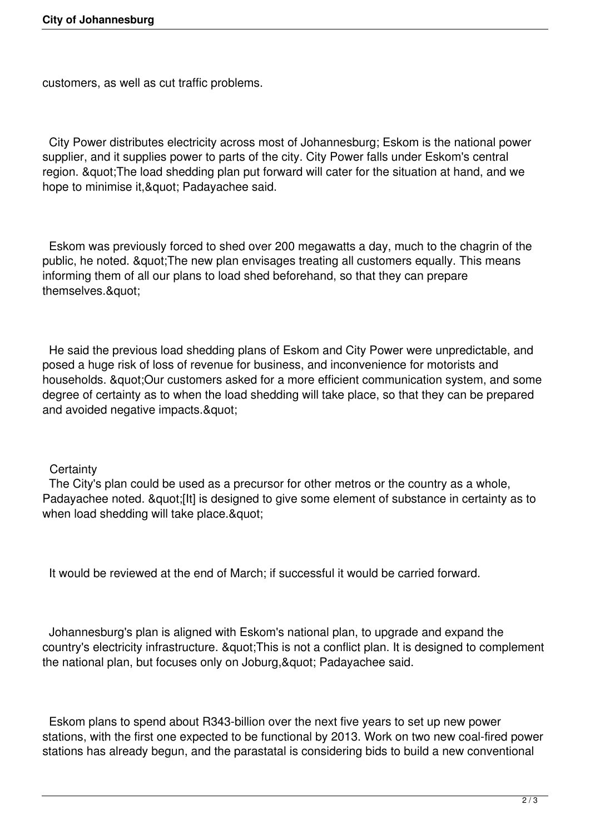customers, as well as cut traffic problems.

 City Power distributes electricity across most of Johannesburg; Eskom is the national power supplier, and it supplies power to parts of the city. City Power falls under Eskom's central region. "The load shedding plan put forward will cater for the situation at hand, and we hope to minimise it, & quot; Padayachee said.

 Eskom was previously forced to shed over 200 megawatts a day, much to the chagrin of the public, he noted. " The new plan envisages treating all customers equally. This means informing them of all our plans to load shed beforehand, so that they can prepare themselves.&quot:

 He said the previous load shedding plans of Eskom and City Power were unpredictable, and posed a huge risk of loss of revenue for business, and inconvenience for motorists and households. "Our customers asked for a more efficient communication system, and some degree of certainty as to when the load shedding will take place, so that they can be prepared and avoided negative impacts. & quot;

## **Certainty**

 The City's plan could be used as a precursor for other metros or the country as a whole, Padayachee noted. "[It] is designed to give some element of substance in certainty as to when load shedding will take place. "

It would be reviewed at the end of March; if successful it would be carried forward.

 Johannesburg's plan is aligned with Eskom's national plan, to upgrade and expand the country's electricity infrastructure. " This is not a conflict plan. It is designed to complement the national plan, but focuses only on Joburg, & quot; Padayachee said.

 Eskom plans to spend about R343-billion over the next five years to set up new power stations, with the first one expected to be functional by 2013. Work on two new coal-fired power stations has already begun, and the parastatal is considering bids to build a new conventional